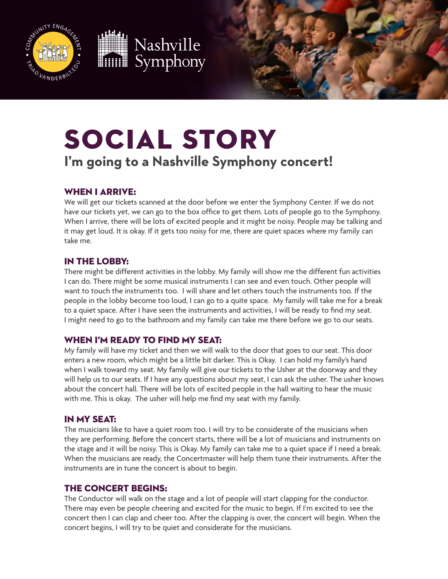





# Social Story

# **I'm going to a Nashville Symphony concert!**

# When I arrive:

We will get our tickets scanned at the door before we enter the Symphony Center. If we do not have our tickets yet, we can go to the box office to get them. Lots of people go to the Symphony. When I arrive, there will be lots of excited people and it might be noisy. People may be talking and it may get loud. It is okay. If it gets too noisy for me, there are quiet spaces where my family can take me.

# In the lobby:

There might be different activities in the lobby. My family will show me the different fun activities I can do. There might be some musical instruments I can see and even touch. Other people will want to touch the instruments too. I will share and let others touch the instruments too. If the people in the lobby become too loud, I can go to a quite space. My family will take me for a break to a quiet space. After I have seen the instruments and activities, I will be ready to find my seat. I might need to go to the bathroom and my family can take me there before we go to our seats.

### WHEN I'M READY TO FIND MY SEAT:

My family will have my ticket and then we will walk to the door that goes to our seat. This door enters a new room, which might be a little bit darker. This is Okay. I can hold my family's hand when I walk toward my seat. My family will give our tickets to the Usher at the doorway and they will help us to our seats. If I have any questions about my seat, I can ask the usher. The usher knows about the concert hall. There will be lots of excited people in the hall waiting to hear the music with me. This is okay. The usher will help me find my seat with my family.

### In my seat:

The musicians like to have a quiet room too. I will try to be considerate of the musicians when they are performing. Before the concert starts, there will be a lot of musicians and instruments on the stage and it will be noisy. This is Okay. My family can take me to a quiet space if I need a break. When the musicians are ready, the Concertmaster will help them tune their instruments. After the instruments are in tune the concert is about to begin.

### The Concert Begins:

The Conductor will walk on the stage and a lot of people will start clapping for the conductor. There may even be people cheering and excited for the music to begin. If I'm excited to see the concert then I can clap and cheer too. After the clapping is over, the concert will begin. When the concert begins, I will try to be quiet and considerate for the musicians.